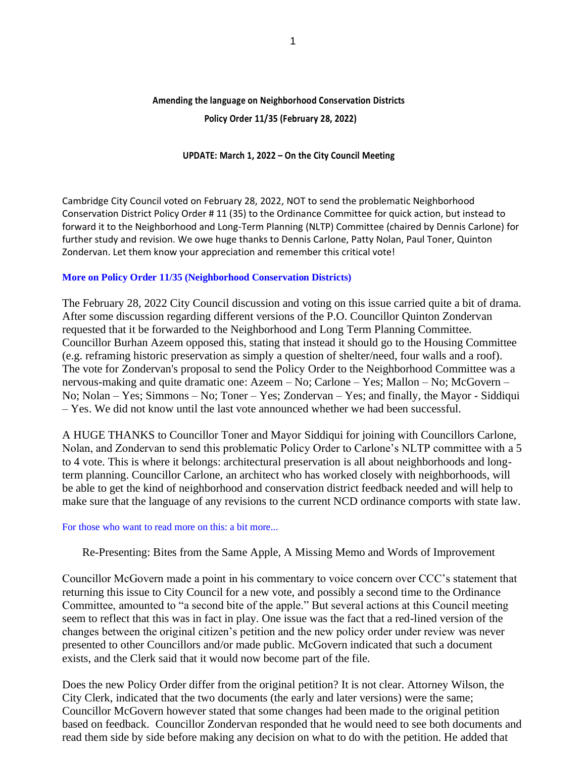# **Amending the language on Neighborhood Conservation Districts**

 **Policy Order 11/35 (February 28, 2022)**

## **UPDATE: March 1, 2022 – On the City Council Meeting**

Cambridge City Council voted on February 28, 2022, NOT to send the problematic Neighborhood Conservation District Policy Order # 11 (35) to the Ordinance Committee for quick action, but instead to forward it to the Neighborhood and Long-Term Planning (NLTP) Committee (chaired by Dennis Carlone) for further study and revision. We owe huge thanks to Dennis Carlone, Patty Nolan, Paul Toner, Quinton Zondervan. Let them know your appreciation and remember this critical vote!

## **More on Policy Order 11/35 (Neighborhood Conservation Districts)**

The February 28, 2022 City Council discussion and voting on this issue carried quite a bit of drama. After some discussion regarding different versions of the P.O. Councillor Quinton Zondervan requested that it be forwarded to the Neighborhood and Long Term Planning Committee. Councillor Burhan Azeem opposed this, stating that instead it should go to the Housing Committee (e.g. reframing historic preservation as simply a question of shelter/need, four walls and a roof). The vote for Zondervan's proposal to send the Policy Order to the Neighborhood Committee was a nervous-making and quite dramatic one: Azeem – No; Carlone – Yes; Mallon – No; McGovern – No; Nolan – Yes; Simmons – No; Toner – Yes; Zondervan – Yes; and finally, the Mayor - Siddiqui – Yes. We did not know until the last vote announced whether we had been successful.

A HUGE THANKS to Councillor Toner and Mayor Siddiqui for joining with Councillors Carlone, Nolan, and Zondervan to send this problematic Policy Order to Carlone's NLTP committee with a 5 to 4 vote. This is where it belongs: architectural preservation is all about neighborhoods and longterm planning. Councillor Carlone, an architect who has worked closely with neighborhoods, will be able to get the kind of neighborhood and conservation district feedback needed and will help to make sure that the language of any revisions to the current NCD ordinance comports with state law.

### For those who want to read more on this: a bit more...

Re-Presenting: Bites from the Same Apple, A Missing Memo and Words of Improvement

Councillor McGovern made a point in his commentary to voice concern over CCC's statement that returning this issue to City Council for a new vote, and possibly a second time to the Ordinance Committee, amounted to "a second bite of the apple." But several actions at this Council meeting seem to reflect that this was in fact in play. One issue was the fact that a red-lined version of the changes between the original citizen's petition and the new policy order under review was never presented to other Councillors and/or made public. McGovern indicated that such a document exists, and the Clerk said that it would now become part of the file.

Does the new Policy Order differ from the original petition? It is not clear. Attorney Wilson, the City Clerk, indicated that the two documents (the early and later versions) were the same; Councillor McGovern however stated that some changes had been made to the original petition based on feedback. Councillor Zondervan responded that he would need to see both documents and read them side by side before making any decision on what to do with the petition. He added that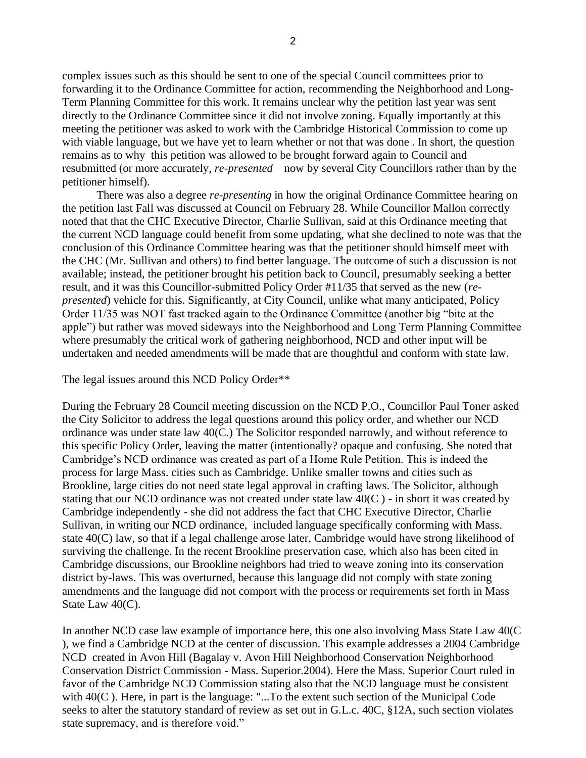complex issues such as this should be sent to one of the special Council committees prior to forwarding it to the Ordinance Committee for action, recommending the Neighborhood and Long-Term Planning Committee for this work. It remains unclear why the petition last year was sent directly to the Ordinance Committee since it did not involve zoning. Equally importantly at this meeting the petitioner was asked to work with the Cambridge Historical Commission to come up with viable language, but we have yet to learn whether or not that was done . In short, the question remains as to why this petition was allowed to be brought forward again to Council and resubmitted (or more accurately, *re-presented* – now by several City Councillors rather than by the petitioner himself).

 There was also a degree *re-presenting* in how the original Ordinance Committee hearing on the petition last Fall was discussed at Council on February 28. While Councillor Mallon correctly noted that that the CHC Executive Director, Charlie Sullivan, said at this Ordinance meeting that the current NCD language could benefit from some updating, what she declined to note was that the conclusion of this Ordinance Committee hearing was that the petitioner should himself meet with the CHC (Mr. Sullivan and others) to find better language. The outcome of such a discussion is not available; instead, the petitioner brought his petition back to Council, presumably seeking a better result, and it was this Councillor-submitted Policy Order #11/35 that served as the new (*represented*) vehicle for this. Significantly, at City Council, unlike what many anticipated, Policy Order 11/35 was NOT fast tracked again to the Ordinance Committee (another big "bite at the apple") but rather was moved sideways into the Neighborhood and Long Term Planning Committee where presumably the critical work of gathering neighborhood, NCD and other input will be undertaken and needed amendments will be made that are thoughtful and conform with state law.

#### The legal issues around this NCD Policy Order\*\*

During the February 28 Council meeting discussion on the NCD P.O., Councillor Paul Toner asked the City Solicitor to address the legal questions around this policy order, and whether our NCD ordinance was under state law 40(C.) The Solicitor responded narrowly, and without reference to this specific Policy Order, leaving the matter (intentionally? opaque and confusing. She noted that Cambridge's NCD ordinance was created as part of a Home Rule Petition. This is indeed the process for large Mass. cities such as Cambridge. Unlike smaller towns and cities such as Brookline, large cities do not need state legal approval in crafting laws. The Solicitor, although stating that our NCD ordinance was not created under state law  $40(C)$  - in short it was created by Cambridge independently - she did not address the fact that CHC Executive Director, Charlie Sullivan, in writing our NCD ordinance, included language specifically conforming with Mass. state 40(C) law, so that if a legal challenge arose later, Cambridge would have strong likelihood of surviving the challenge. In the recent Brookline preservation case, which also has been cited in Cambridge discussions, our Brookline neighbors had tried to weave zoning into its conservation district by-laws. This was overturned, because this language did not comply with state zoning amendments and the language did not comport with the process or requirements set forth in Mass State Law 40(C).

In another NCD case law example of importance here, this one also involving Mass State Law 40(C ), we find a Cambridge NCD at the center of discussion. This example addresses a 2004 Cambridge NCD created in Avon Hill (Bagalay v. Avon Hill Neighborhood Conservation Neighborhood Conservation District Commission - Mass. Superior.2004). Here the Mass. Superior Court ruled in favor of the Cambridge NCD Commission stating also that the NCD language must be consistent with 40(C ). Here, in part is the language: "...To the extent such section of the Municipal Code seeks to alter the statutory standard of review as set out in G.L.c. 40C, §12A, such section violates state supremacy, and is therefore void."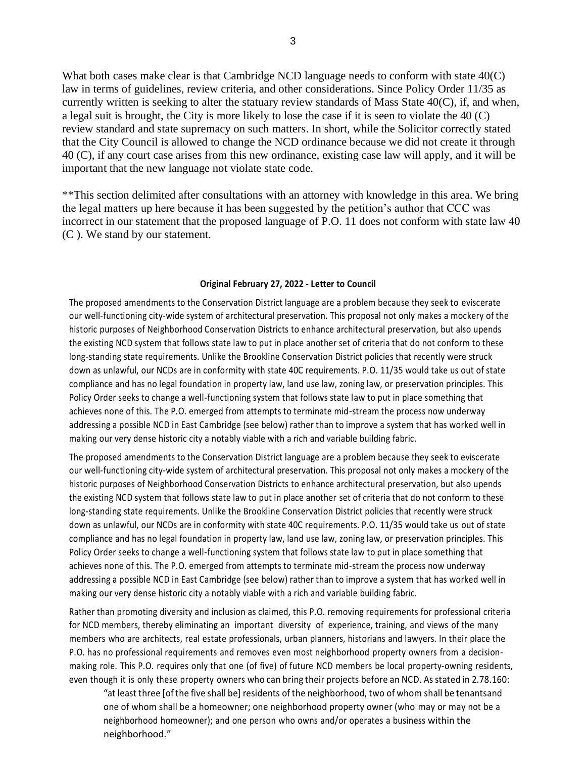What both cases make clear is that Cambridge NCD language needs to conform with state 40(C) law in terms of guidelines, review criteria, and other considerations. Since Policy Order 11/35 as currently written is seeking to alter the statuary review standards of Mass State  $40(C)$ , if, and when, a legal suit is brought, the City is more likely to lose the case if it is seen to violate the 40 (C) review standard and state supremacy on such matters. In short, while the Solicitor correctly stated that the City Council is allowed to change the NCD ordinance because we did not create it through 40 (C), if any court case arises from this new ordinance, existing case law will apply, and it will be important that the new language not violate state code.

\*\*This section delimited after consultations with an attorney with knowledge in this area. We bring the legal matters up here because it has been suggested by the petition's author that CCC was incorrect in our statement that the proposed language of P.O. 11 does not conform with state law 40 (C ). We stand by our statement.

#### **Original February 27, 2022 - Letter to Council**

The proposed amendments to the Conservation District language are a problem because they seek to eviscerate our well-functioning city-wide system of architectural preservation. This proposal not only makes a mockery of the historic purposes of Neighborhood Conservation Districts to enhance architectural preservation, but also upends the existing NCD system that follows state law to put in place another set of criteria that do not conform to these long-standing state requirements. Unlike the Brookline Conservation District policies that recently were struck down as unlawful, our NCDs are in conformity with state 40C requirements. P.O. 11/35 would take us out of state compliance and has no legal foundation in property law, land use law, zoning law, or preservation principles. This Policy Order seeks to change a well-functioning system that follows state law to put in place something that achieves none of this. The P.O. emerged from attempts to terminate mid-stream the process now underway addressing a possible NCD in East Cambridge (see below) rather than to improve a system that has worked well in making our very dense historic city a notably viable with a rich and variable building fabric.

The proposed amendments to the Conservation District language are a problem because they seek to eviscerate our well-functioning city-wide system of architectural preservation. This proposal not only makes a mockery of the historic purposes of Neighborhood Conservation Districts to enhance architectural preservation, but also upends the existing NCD system that follows state law to put in place another set of criteria that do not conform to these long-standing state requirements. Unlike the Brookline Conservation District policies that recently were struck down as unlawful, our NCDs are in conformity with state 40C requirements. P.O. 11/35 would take us out of state compliance and has no legal foundation in property law, land use law, zoning law, or preservation principles. This Policy Order seeks to change a well-functioning system that follows state law to put in place something that achieves none of this. The P.O. emerged from attempts to terminate mid-stream the process now underway addressing a possible NCD in East Cambridge (see below) rather than to improve a system that has worked well in making our very dense historic city a notably viable with a rich and variable building fabric.

Rather than promoting diversity and inclusion as claimed, this P.O. removing requirements for professional criteria for NCD members, thereby eliminating an important diversity of experience, training, and views of the many members who are architects, real estate professionals, urban planners, historians and lawyers. In their place the P.O. has no professional requirements and removes even most neighborhood property owners from a decisionmaking role. This P.O. requires only that one (of five) of future NCD members be local property-owning residents, even though it is only these property owners who can bring their projects before an NCD. As stated in 2.78.160:

"at least three [of the five shall be] residents of the neighborhood, two of whom shall be tenantsand one of whom shall be a homeowner; one neighborhood property owner (who may or may not be a neighborhood homeowner); and one person who owns and/or operates a business within the neighborhood."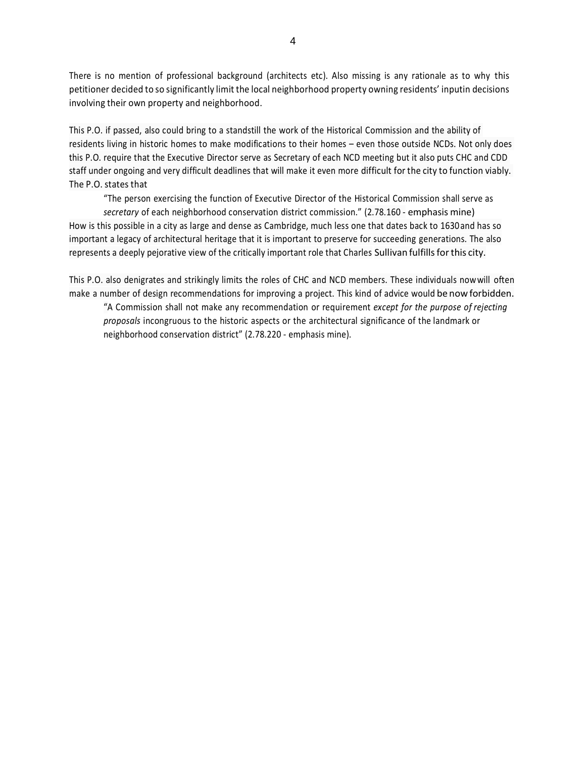There is no mention of professional background (architects etc). Also missing is any rationale as to why this petitioner decided to so significantly limit the local neighborhood property owning residents' inputin decisions involving their own property and neighborhood.

This P.O. if passed, also could bring to a standstill the work of the Historical Commission and the ability of residents living in historic homes to make modifications to their homes – even those outside NCDs. Not only does this P.O. require that the Executive Director serve as Secretary of each NCD meeting but it also puts CHC and CDD staff under ongoing and very difficult deadlines that will make it even more difficult for the city to function viably. The P.O. states that

"The person exercising the function of Executive Director of the Historical Commission shall serve as

*secretary* of each neighborhood conservation district commission." (2.78.160 - emphasis mine) How is this possible in a city as large and dense as Cambridge, much less one that dates back to 1630and has so important a legacy of architectural heritage that it is important to preserve for succeeding generations. The also represents a deeply pejorative view of the critically important role that Charles Sullivan fulfills for this city.

This P.O. also denigrates and strikingly limits the roles of CHC and NCD members. These individuals nowwill often make a number of design recommendations for improving a project. This kind of advice would be now forbidden. "A Commission shall not make any recommendation or requirement *except for the purpose of rejecting proposals* incongruous to the historic aspects or the architectural significance of the landmark or neighborhood conservation district" (2.78.220 - emphasis mine).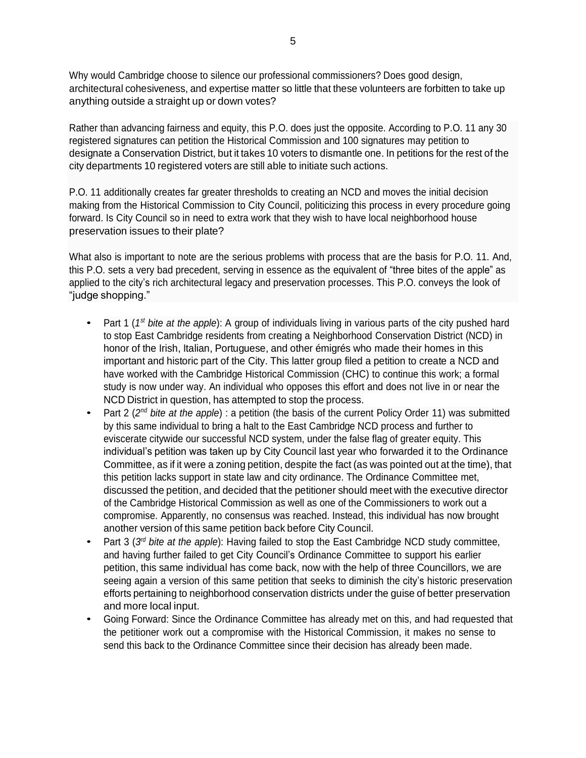Why would Cambridge choose to silence our professional commissioners? Does good design, architectural cohesiveness, and expertise matter so little that these volunteers are forbitten to take up anything outside a straight up or down votes?

Rather than advancing fairness and equity, this P.O. does just the opposite. According to P.O. 11 any 30 registered signatures can petition the Historical Commission and 100 signatures may petition to designate a Conservation District, but it takes 10 voters to dismantle one. In petitions for the rest of the city departments 10 registered voters are still able to initiate such actions.

P.O. 11 additionally creates far greater thresholds to creating an NCD and moves the initial decision making from the Historical Commission to City Council, politicizing this process in every procedure going forward. Is City Council so in need to extra work that they wish to have local neighborhood house preservation issues to their plate?

What also is important to note are the serious problems with process that are the basis for P.O. 11. And, this P.O. sets a very bad precedent, serving in essence as the equivalent of "three bites of the apple" as applied to the city's rich architectural legacy and preservation processes. This P.O. conveys the look of "judge shopping."

- Part 1 (1<sup>st</sup> bite at the *apple*): A group of individuals living in various parts of the city pushed hard to stop East Cambridge residents from creating a Neighborhood Conservation District (NCD) in honor of the Irish, Italian, Portuguese, and other émigrés who made their homes in this important and historic part of the City. This latter group filed a petition to create a NCD and have worked with the Cambridge Historical Commission (CHC) to continue this work; a formal study is now under way. An individual who opposes this effort and does not live in or near the NCD District in question, has attempted to stop the process.
- Part 2 (2<sup>nd</sup> bite at the apple) : a petition (the basis of the current Policy Order 11) was submitted by this same individual to bring a halt to the East Cambridge NCD process and further to eviscerate citywide our successful NCD system, under the false flag of greater equity. This individual's petition was taken up by City Council last year who forwarded it to the Ordinance Committee, as if it were a zoning petition, despite the fact (as was pointed out at the time), that this petition lacks support in state law and city ordinance. The Ordinance Committee met, discussed the petition, and decided that the petitioner should meet with the executive director of the Cambridge Historical Commission as well as one of the Commissioners to work out a compromise. Apparently, no consensus was reached. Instead, this individual has now brought another version of this same petition back before City Council.
- Part 3 (3<sup>rd</sup> bite at the apple): Having failed to stop the East Cambridge NCD study committee, and having further failed to get City Council's Ordinance Committee to support his earlier petition, this same individual has come back, now with the help of three Councillors, we are seeing again a version of this same petition that seeks to diminish the city's historic preservation efforts pertaining to neighborhood conservation districts under the guise of better preservation and more local input.
- Going Forward: Since the Ordinance Committee has already met on this, and had requested that the petitioner work out a compromise with the Historical Commission, it makes no sense to send this back to the Ordinance Committee since their decision has already been made.